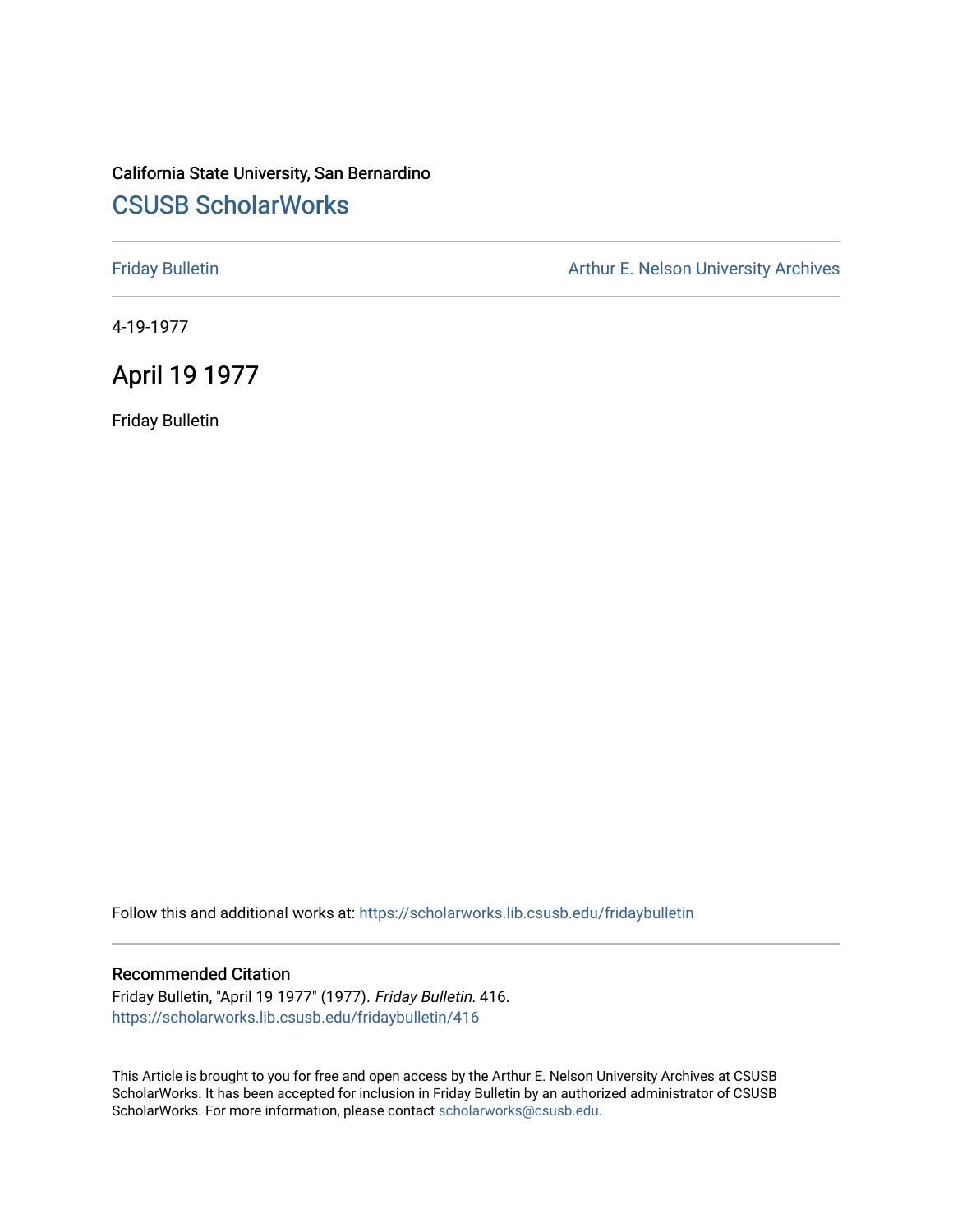## California State University, San Bernardino [CSUSB ScholarWorks](https://scholarworks.lib.csusb.edu/)

[Friday Bulletin](https://scholarworks.lib.csusb.edu/fridaybulletin) **Arthur E. Nelson University Archives** Arthur E. Nelson University Archives

4-19-1977

## April 19 1977

Friday Bulletin

Follow this and additional works at: [https://scholarworks.lib.csusb.edu/fridaybulletin](https://scholarworks.lib.csusb.edu/fridaybulletin?utm_source=scholarworks.lib.csusb.edu%2Ffridaybulletin%2F416&utm_medium=PDF&utm_campaign=PDFCoverPages)

## Recommended Citation

Friday Bulletin, "April 19 1977" (1977). Friday Bulletin. 416. [https://scholarworks.lib.csusb.edu/fridaybulletin/416](https://scholarworks.lib.csusb.edu/fridaybulletin/416?utm_source=scholarworks.lib.csusb.edu%2Ffridaybulletin%2F416&utm_medium=PDF&utm_campaign=PDFCoverPages)

This Article is brought to you for free and open access by the Arthur E. Nelson University Archives at CSUSB ScholarWorks. It has been accepted for inclusion in Friday Bulletin by an authorized administrator of CSUSB ScholarWorks. For more information, please contact [scholarworks@csusb.edu.](mailto:scholarworks@csusb.edu)